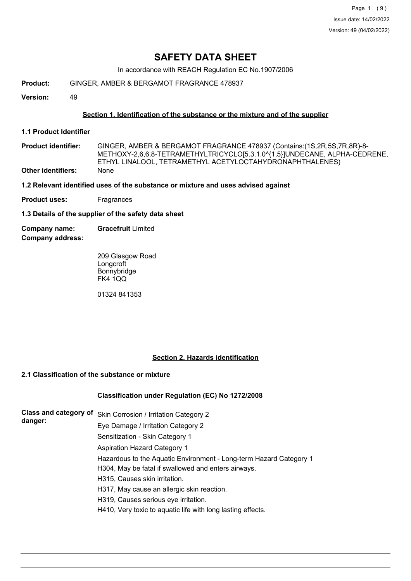Page 1 (9) Issue date: 14/02/2022 Version: 49 (04/02/2022)

# **SAFETY DATA SHEET**

In accordance with REACH Regulation EC No.1907/2006

**Product:** GINGER, AMBER & BERGAMOT FRAGRANCE 478937

**Version:** 49

### **Section 1. Identification of the substance or the mixture and of the supplier**

- **1.1 Product Identifier**
- GINGER, AMBER & BERGAMOT FRAGRANCE 478937 (Contains:(1S,2R,5S,7R,8R)-8- METHOXY-2,6,6,8-TETRAMETHYLTRICYCLO[5.3.1.0^{1,5}]UNDECANE, ALPHA-CEDRENE, ETHYL LINALOOL, TETRAMETHYL ACETYLOCTAHYDRONAPHTHALENES) **Product identifier: Other identifiers:** None
- **1.2 Relevant identified uses of the substance or mixture and uses advised against**
- **Product uses:** Fragrances

**1.3 Details of the supplier of the safety data sheet**

**Company address: Company name: Gracefruit** Limited

> 209 Glasgow Road Longcroft Bonnybridge FK4 1QQ

01324 841353

### **Section 2. Hazards identification**

## **2.1 Classification of the substance or mixture**

### **Classification under Regulation (EC) No 1272/2008**

| <b>Class and category of</b> | Skin Corrosion / Irritation Category 2                             |
|------------------------------|--------------------------------------------------------------------|
| danger:                      | Eye Damage / Irritation Category 2                                 |
|                              | Sensitization - Skin Category 1                                    |
|                              | <b>Aspiration Hazard Category 1</b>                                |
|                              | Hazardous to the Aquatic Environment - Long-term Hazard Category 1 |
|                              | H304, May be fatal if swallowed and enters airways.                |
|                              | H315, Causes skin irritation.                                      |
|                              | H317, May cause an allergic skin reaction.                         |
|                              | H319, Causes serious eye irritation.                               |
|                              | H410, Very toxic to aquatic life with long lasting effects.        |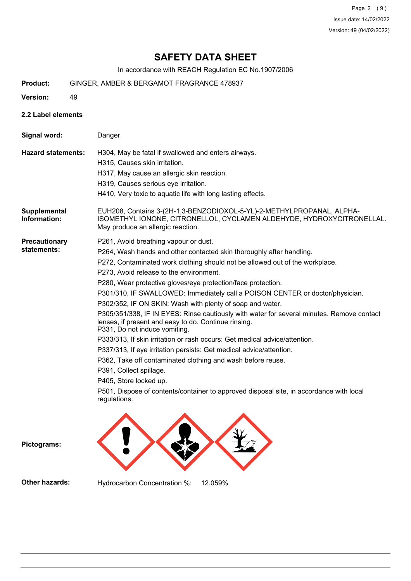Page 2 (9) Issue date: 14/02/2022 Version: 49 (04/02/2022)

# **SAFETY DATA SHEET**

In accordance with REACH Regulation EC No.1907/2006

- **Product:** GINGER, AMBER & BERGAMOT FRAGRANCE 478937
- **Version:** 49
- **2.2 Label elements**

| Signal word:                        | Danger                                                                                                                                                                                                                                                                                                                                                                                                                                                                                                                                                                                                                                                                                                                                                                                                                                                                                                                                                                                                                           |
|-------------------------------------|----------------------------------------------------------------------------------------------------------------------------------------------------------------------------------------------------------------------------------------------------------------------------------------------------------------------------------------------------------------------------------------------------------------------------------------------------------------------------------------------------------------------------------------------------------------------------------------------------------------------------------------------------------------------------------------------------------------------------------------------------------------------------------------------------------------------------------------------------------------------------------------------------------------------------------------------------------------------------------------------------------------------------------|
| <b>Hazard statements:</b>           | H304, May be fatal if swallowed and enters airways.<br>H315, Causes skin irritation.<br>H317, May cause an allergic skin reaction.<br>H319, Causes serious eye irritation.<br>H410, Very toxic to aquatic life with long lasting effects.                                                                                                                                                                                                                                                                                                                                                                                                                                                                                                                                                                                                                                                                                                                                                                                        |
| Supplemental<br>Information:        | EUH208, Contains 3-(2H-1,3-BENZODIOXOL-5-YL)-2-METHYLPROPANAL, ALPHA-<br>ISOMETHYL IONONE, CITRONELLOL, CYCLAMEN ALDEHYDE, HYDROXYCITRONELLAL.<br>May produce an allergic reaction.                                                                                                                                                                                                                                                                                                                                                                                                                                                                                                                                                                                                                                                                                                                                                                                                                                              |
| <b>Precautionary</b><br>statements: | P261, Avoid breathing vapour or dust.<br>P264, Wash hands and other contacted skin thoroughly after handling.<br>P272, Contaminated work clothing should not be allowed out of the workplace.<br>P273, Avoid release to the environment.<br>P280, Wear protective gloves/eye protection/face protection.<br>P301/310, IF SWALLOWED: Immediately call a POISON CENTER or doctor/physician.<br>P302/352, IF ON SKIN: Wash with plenty of soap and water.<br>P305/351/338, IF IN EYES: Rinse cautiously with water for several minutes. Remove contact<br>lenses, if present and easy to do. Continue rinsing.<br>P331, Do not induce vomiting.<br>P333/313, If skin irritation or rash occurs: Get medical advice/attention.<br>P337/313, If eye irritation persists: Get medical advice/attention.<br>P362, Take off contaminated clothing and wash before reuse.<br>P391, Collect spillage.<br>P405, Store locked up.<br>P501, Dispose of contents/container to approved disposal site, in accordance with local<br>regulations. |
|                                     |                                                                                                                                                                                                                                                                                                                                                                                                                                                                                                                                                                                                                                                                                                                                                                                                                                                                                                                                                                                                                                  |

**Pictograms:**

**Other hazards:** Hydrocarbon Concentration %: 12.059%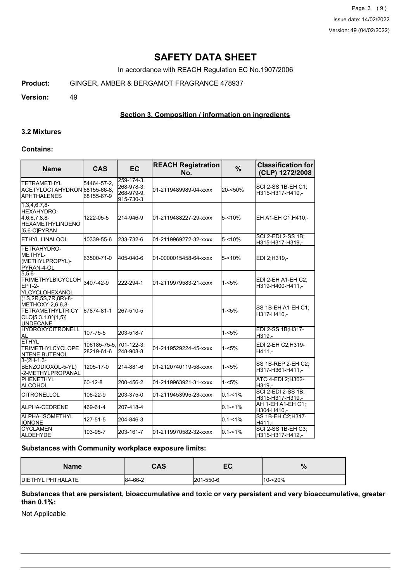Page 3 (9) Issue date: 14/02/2022 Version: 49 (04/02/2022)

# **SAFETY DATA SHEET**

In accordance with REACH Regulation EC No.1907/2006

**Product:** GINGER, AMBER & BERGAMOT FRAGRANCE 478937

**Version:** 49

### **Section 3. Composition / information on ingredients**

#### **3.2 Mixtures**

#### **Contains:**

| <b>Name</b>                                                                                                           | <b>CAS</b>                 | <b>EC</b>                                           | <b>REACH Registration</b><br>No. | $\frac{9}{6}$ | <b>Classification for</b><br>(CLP) 1272/2008  |  |
|-----------------------------------------------------------------------------------------------------------------------|----------------------------|-----------------------------------------------------|----------------------------------|---------------|-----------------------------------------------|--|
| ITETRAMETHYL<br>ACETYLOCTAHYDRON 68155-66-8,<br><b>IAPHTHALENES</b>                                                   | 54464-57-2.<br>68155-67-9  | 259-174-3.<br>268-978-3,<br>268-979-9,<br>915-730-3 | 01-2119489989-04-xxxx            | 20-<50%       | SCI 2-SS 1B-EH C1;<br>H315-H317-H410,-        |  |
| $1,3,4,6,7,8$ -<br>HEXAHYDRO-<br>4,6,6,7,8,8-<br><b>HEXAMETHYLINDENO</b><br>IS.6-CIPYRAN                              | 1222-05-5                  | 214-946-9                                           | 01-2119488227-29-xxxx            | $5 - 10%$     | EH A1-EH C1; H410,-                           |  |
| <b>I</b> ETHYL LINALOOL                                                                                               | 10339-55-6                 | 233-732-6                                           | 01-2119969272-32-xxxx            | $5 - 10%$     | SCI 2-EDI 2-SS 1B;<br>H315-H317-H319,-        |  |
| TETRAHYDRO-<br><b>METHYL-</b><br>(METHYLPROPYL)-<br>PYRAN-4-OL                                                        | 63500-71-0                 | 405-040-6                                           | 01-0000015458-64-xxxx            | 5-<10%        | EDI 2:H319.-                                  |  |
| $5,5,6-$<br>TRIMETHYLBICYCLOH 3407-42-9<br>EPT-2-<br><b>IYLCYCLOHEXANOL</b>                                           |                            | 222-294-1                                           | 01-2119979583-21-xxxx            | $1 - 5%$      | EDI 2-EH A1-EH C2:<br>H319-H400-H411.-        |  |
| (1S, 2R, 5S, 7R, 8R)-8-<br>METHOXY-2,6,6,8-<br><b>ITETRAMETHYLTRICY</b><br>$[CLO[5.3.1.0^{4}1,5]]$<br><b>UNDECANE</b> | 67874-81-1                 | 267-510-5                                           |                                  | $1 - 5%$      | ISS 1B-EH A1-EH C1:<br>H317-H410,-            |  |
| <b>HYDROXYCITRONELL</b><br>AL                                                                                         | 107-75-5                   | 203-518-7                                           |                                  | $1 - 5%$      | EDI 2-SS 1B;H317-<br>H319,-                   |  |
| <b>ETHYL</b><br><b>TRIMETHYLCYCLOPE</b><br><b>INTENE BUTENOL</b>                                                      | 106185-75-5.<br>28219-61-6 | 701-122-3,<br>248-908-8                             | 01-2119529224-45-xxxx            | 1-<5%         | EDI 2-EH C2;H319-<br>H411,-                   |  |
| $3-(2H-1,3-$<br>BENZODIOXOL-5-YL)<br>-2-METHYLPROPANAL                                                                | 1205-17-0                  | 214-881-6                                           | 01-2120740119-58-xxxx            | 1-<5%         | SS 1B-REP 2-EH C2:<br>H317-H361-H411,-        |  |
| <b>PHENETHYL</b><br>ALCOHOL                                                                                           | 60-12-8                    | 200-456-2                                           | 01-2119963921-31-xxxx            | $1 - 5%$      | ATO 4-EDI 2;H302-<br>H319.-                   |  |
| <b>CITRONELLOL</b>                                                                                                    | 106-22-9                   | 203-375-0                                           | 01-2119453995-23-xxxx            | $0.1 - 1\%$   | <b>SCI 2-EDI 2-SS 1B;</b><br>H315-H317-H319,- |  |
| <b>IALPHA-CEDRENE</b>                                                                                                 | 469-61-4                   | 207-418-4                                           |                                  | $0.1 - 1\%$   | AH 1-EH A1-EH C1:<br>H304-H410,-              |  |
| ALPHA-ISOMETHYL<br><b>IONONE</b>                                                                                      | 127-51-5                   | 204-846-3                                           |                                  | $0.1 - 1\%$   | SS 1B-EH C2; H317-<br>H411.-                  |  |
| <b>CYCLAMEN</b><br><b>ALDEHYDE</b>                                                                                    | 103-95-7                   | 203-161-7                                           | 01-2119970582-32-xxxx            | $0.1 - 1\%$   | <b>SCI 2-SS 1B-EH C3:</b><br>H315-H317-H412,- |  |

### **Substances with Community workplace exposure limits:**

| <b>Name</b>               | <b>CAS</b> | cr<br>cv  | %          |
|---------------------------|------------|-----------|------------|
| <b>IDIETHYL PHTHALATE</b> | 84-66-2    | 201-550-6 | $10 - 20%$ |

#### **Substances that are persistent, bioaccumulative and toxic or very persistent and very bioaccumulative, greater than 0.1%:**

Not Applicable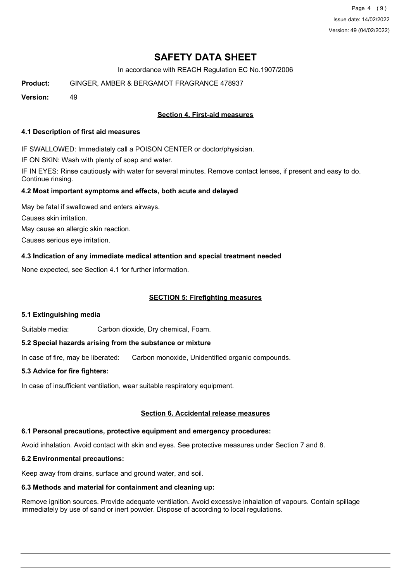Page 4 (9) Issue date: 14/02/2022 Version: 49 (04/02/2022)

# **SAFETY DATA SHEET**

In accordance with REACH Regulation EC No.1907/2006

**Product:** GINGER, AMBER & BERGAMOT FRAGRANCE 478937

**Version:** 49

## **Section 4. First-aid measures**

#### **4.1 Description of first aid measures**

IF SWALLOWED: Immediately call a POISON CENTER or doctor/physician.

IF ON SKIN: Wash with plenty of soap and water.

IF IN EYES: Rinse cautiously with water for several minutes. Remove contact lenses, if present and easy to do. Continue rinsing.

### **4.2 Most important symptoms and effects, both acute and delayed**

May be fatal if swallowed and enters airways. Causes skin irritation. May cause an allergic skin reaction. Causes serious eye irritation.

## **4.3 Indication of any immediate medical attention and special treatment needed**

None expected, see Section 4.1 for further information.

### **SECTION 5: Firefighting measures**

### **5.1 Extinguishing media**

Suitable media: Carbon dioxide, Dry chemical, Foam.

## **5.2 Special hazards arising from the substance or mixture**

In case of fire, may be liberated: Carbon monoxide, Unidentified organic compounds.

### **5.3 Advice for fire fighters:**

In case of insufficient ventilation, wear suitable respiratory equipment.

### **Section 6. Accidental release measures**

# **6.1 Personal precautions, protective equipment and emergency procedures:**

Avoid inhalation. Avoid contact with skin and eyes. See protective measures under Section 7 and 8.

# **6.2 Environmental precautions:**

Keep away from drains, surface and ground water, and soil.

## **6.3 Methods and material for containment and cleaning up:**

Remove ignition sources. Provide adequate ventilation. Avoid excessive inhalation of vapours. Contain spillage immediately by use of sand or inert powder. Dispose of according to local regulations.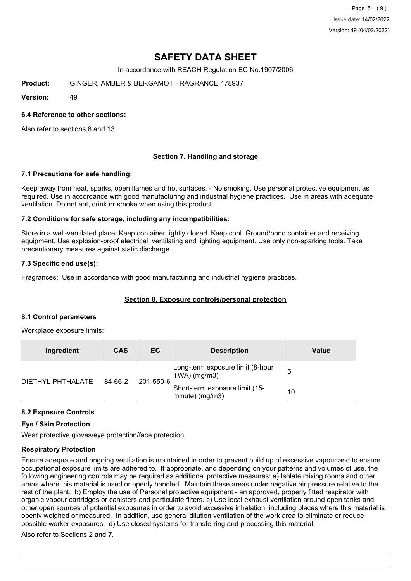Page 5 (9) Issue date: 14/02/2022 Version: 49 (04/02/2022)

# **SAFETY DATA SHEET**

In accordance with REACH Regulation EC No.1907/2006

**Product:** GINGER, AMBER & BERGAMOT FRAGRANCE 478937

**Version:** 49

#### **6.4 Reference to other sections:**

Also refer to sections 8 and 13.

### **Section 7. Handling and storage**

#### **7.1 Precautions for safe handling:**

Keep away from heat, sparks, open flames and hot surfaces. - No smoking. Use personal protective equipment as required. Use in accordance with good manufacturing and industrial hygiene practices. Use in areas with adequate ventilation Do not eat, drink or smoke when using this product.

#### **7.2 Conditions for safe storage, including any incompatibilities:**

Store in a well-ventilated place. Keep container tightly closed. Keep cool. Ground/bond container and receiving equipment. Use explosion-proof electrical, ventilating and lighting equipment. Use only non-sparking tools. Take precautionary measures against static discharge.

#### **7.3 Specific end use(s):**

Fragrances: Use in accordance with good manufacturing and industrial hygiene practices.

### **Section 8. Exposure controls/personal protection**

#### **8.1 Control parameters**

Workplace exposure limits:

| Ingredient               | <b>CAS</b>           | EC                                                   | <b>Description</b>                                | Value |
|--------------------------|----------------------|------------------------------------------------------|---------------------------------------------------|-------|
| <b>DIETHYL PHTHALATE</b> | 201-550-6<br>84-66-2 |                                                      | Long-term exposure limit (8-hour<br> TWA  (mg/m3) |       |
|                          |                      | Short-term exposure limit (15-<br>$ minute)$ (mg/m3) | 10                                                |       |

### **8.2 Exposure Controls**

#### **Eye / Skin Protection**

Wear protective gloves/eye protection/face protection

### **Respiratory Protection**

Ensure adequate and ongoing ventilation is maintained in order to prevent build up of excessive vapour and to ensure occupational exposure limits are adhered to. If appropriate, and depending on your patterns and volumes of use, the following engineering controls may be required as additional protective measures: a) Isolate mixing rooms and other areas where this material is used or openly handled. Maintain these areas under negative air pressure relative to the rest of the plant. b) Employ the use of Personal protective equipment - an approved, properly fitted respirator with organic vapour cartridges or canisters and particulate filters. c) Use local exhaust ventilation around open tanks and other open sources of potential exposures in order to avoid excessive inhalation, including places where this material is openly weighed or measured. In addition, use general dilution ventilation of the work area to eliminate or reduce possible worker exposures. d) Use closed systems for transferring and processing this material.

Also refer to Sections 2 and 7.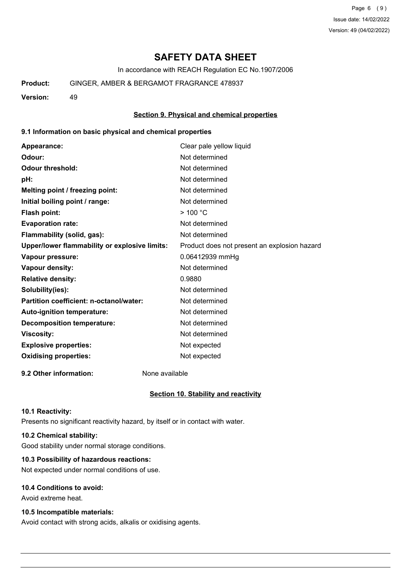Page 6 (9) Issue date: 14/02/2022 Version: 49 (04/02/2022)

# **SAFETY DATA SHEET**

In accordance with REACH Regulation EC No.1907/2006

**Product:** GINGER, AMBER & BERGAMOT FRAGRANCE 478937

**Version:** 49

### **Section 9. Physical and chemical properties**

#### **9.1 Information on basic physical and chemical properties**

| Appearance:                                   | Clear pale yellow liquid                     |
|-----------------------------------------------|----------------------------------------------|
| Odour:                                        | Not determined                               |
| <b>Odour threshold:</b>                       | Not determined                               |
| pH:                                           | Not determined                               |
| Melting point / freezing point:               | Not determined                               |
| Initial boiling point / range:                | Not determined                               |
| <b>Flash point:</b>                           | $>$ 100 °C                                   |
| <b>Evaporation rate:</b>                      | Not determined                               |
| Flammability (solid, gas):                    | Not determined                               |
| Upper/lower flammability or explosive limits: | Product does not present an explosion hazard |
| Vapour pressure:                              | 0.06412939 mmHg                              |
| Vapour density:                               | Not determined                               |
| <b>Relative density:</b>                      | 0.9880                                       |
| Solubility(ies):                              | Not determined                               |
| Partition coefficient: n-octanol/water:       | Not determined                               |
| Auto-ignition temperature:                    | Not determined                               |
| <b>Decomposition temperature:</b>             | Not determined                               |
| <b>Viscosity:</b>                             | Not determined                               |
| <b>Explosive properties:</b>                  | Not expected                                 |
| <b>Oxidising properties:</b>                  | Not expected                                 |
|                                               |                                              |

**9.2 Other information:** None available

### **Section 10. Stability and reactivity**

#### **10.1 Reactivity:**

Presents no significant reactivity hazard, by itself or in contact with water.

## **10.2 Chemical stability:**

Good stability under normal storage conditions.

# **10.3 Possibility of hazardous reactions:**

Not expected under normal conditions of use.

## **10.4 Conditions to avoid:**

Avoid extreme heat.

## **10.5 Incompatible materials:**

Avoid contact with strong acids, alkalis or oxidising agents.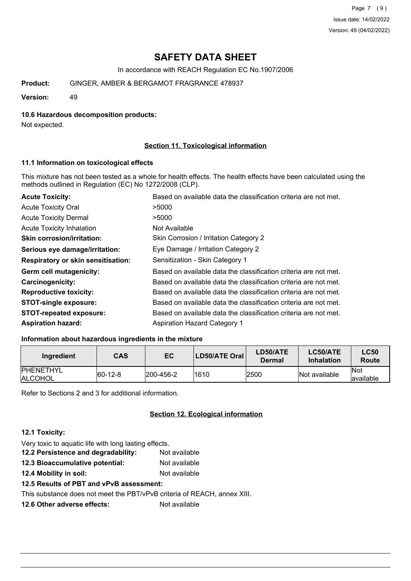Page 7 (9) Issue date: 14/02/2022 Version: 49 (04/02/2022)

# **SAFETY DATA SHEET**

In accordance with REACH Regulation EC No.1907/2006

**Product:** GINGER, AMBER & BERGAMOT FRAGRANCE 478937

**Version:** 49

### **10.6 Hazardous decomposition products:**

Not expected.

## **Section 11. Toxicological information**

### **11.1 Information on toxicological effects**

This mixture has not been tested as a whole for health effects. The health effects have been calculated using the methods outlined in Regulation (EC) No 1272/2008 (CLP).

| <b>Acute Toxicity:</b>                    | Based on available data the classification criteria are not met. |
|-------------------------------------------|------------------------------------------------------------------|
| <b>Acute Toxicity Oral</b>                | >5000                                                            |
| <b>Acute Toxicity Dermal</b>              | >5000                                                            |
| <b>Acute Toxicity Inhalation</b>          | Not Available                                                    |
| <b>Skin corrosion/irritation:</b>         | Skin Corrosion / Irritation Category 2                           |
| Serious eye damage/irritation:            | Eye Damage / Irritation Category 2                               |
| <b>Respiratory or skin sensitisation:</b> | Sensitization - Skin Category 1                                  |
| Germ cell mutagenicity:                   | Based on available data the classification criteria are not met. |
| <b>Carcinogenicity:</b>                   | Based on available data the classification criteria are not met. |
| <b>Reproductive toxicity:</b>             | Based on available data the classification criteria are not met. |
| <b>STOT-single exposure:</b>              | Based on available data the classification criteria are not met. |
| <b>STOT-repeated exposure:</b>            | Based on available data the classification criteria are not met. |
| <b>Aspiration hazard:</b>                 | <b>Aspiration Hazard Category 1</b>                              |

### **Information about hazardous ingredients in the mixture**

| Ingredient                         | CAS         | EC                | LD50/ATE Oral | LD50/ATE<br>Dermal | <b>LC50/ATE</b><br><b>Inhalation</b> | <b>LC50</b><br>Route |
|------------------------------------|-------------|-------------------|---------------|--------------------|--------------------------------------|----------------------|
| <b>PHENETHYL</b><br><b>ALCOHOL</b> | $ 60-12-8 $ | $ 200 - 456 - 2 $ | 1610          | 2500               | Not available                        | lNot<br>lavailable   |

Refer to Sections 2 and 3 for additional information.

## **Section 12. Ecological information**

### **12.1 Toxicity:**

Very toxic to aquatic life with long lasting effects.

- **12.2 Persistence and degradability:** Not available
- **12.3 Bioaccumulative potential:** Not available
- **12.4 Mobility in soil:** Not available

# **12.5 Results of PBT and vPvB assessment:**

This substance does not meet the PBT/vPvB criteria of REACH, annex XIII.

**12.6 Other adverse effects:** Not available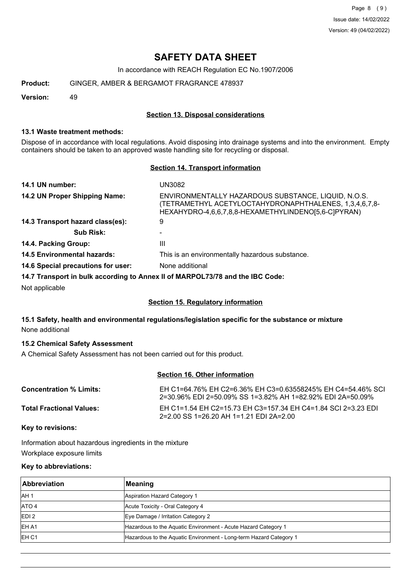Page 8 (9) Issue date: 14/02/2022 Version: 49 (04/02/2022)

# **SAFETY DATA SHEET**

In accordance with REACH Regulation EC No.1907/2006

**Product:** GINGER, AMBER & BERGAMOT FRAGRANCE 478937

**Version:** 49

### **Section 13. Disposal considerations**

#### **13.1 Waste treatment methods:**

Dispose of in accordance with local regulations. Avoid disposing into drainage systems and into the environment. Empty containers should be taken to an approved waste handling site for recycling or disposal.

## **Section 14. Transport information**

| 14.1 UN number:                                | UN3082                                                                                                                                                               |
|------------------------------------------------|----------------------------------------------------------------------------------------------------------------------------------------------------------------------|
| 14.2 UN Proper Shipping Name:                  | ENVIRONMENTALLY HAZARDOUS SUBSTANCE, LIQUID, N.O.S.<br>(TETRAMETHYL ACETYLOCTAHYDRONAPHTHALENES, 1,3,4,6,7,8-<br>HEXAHYDRO-4,6,6,7,8,8-HEXAMETHYLINDENO[5,6-C]PYRAN) |
| 14.3 Transport hazard class(es):               | 9                                                                                                                                                                    |
| <b>Sub Risk:</b>                               |                                                                                                                                                                      |
| 14.4. Packing Group:                           | Ш                                                                                                                                                                    |
| <b>14.5 Environmental hazards:</b>             | This is an environmentally hazardous substance.                                                                                                                      |
| 14.6 Special precautions for user:             | None additional                                                                                                                                                      |
|                                                | 14.7 Transport in bulk according to Annex II of MARPOL73/78 and the IBC Code:                                                                                        |
| <b>Allent</b> constituted to the local control |                                                                                                                                                                      |

Not applicable

### **Section 15. Regulatory information**

### **15.1 Safety, health and environmental regulations/legislation specific for the substance or mixture** None additional

## **15.2 Chemical Safety Assessment**

A Chemical Safety Assessment has not been carried out for this product.

## **Section 16. Other information**

| <b>Concentration % Limits:</b>  | EH C1=64.76% EH C2=6.36% EH C3=0.63558245% EH C4=54.46% SCL<br>2=30.96% EDI 2=50.09% SS 1=3.82% AH 1=82.92% EDI 2A=50.09% |
|---------------------------------|---------------------------------------------------------------------------------------------------------------------------|
| <b>Total Fractional Values:</b> | EH C1=1.54 EH C2=15.73 EH C3=157.34 EH C4=1.84 SCI 2=3.23 EDI<br>2=2.00 SS 1=26.20 AH 1=1.21 EDI 2A=2.00                  |

**Key to revisions:**

Information about hazardous ingredients in the mixture Workplace exposure limits

### **Key to abbreviations:**

| Abbreviation      | Meaning                                                            |
|-------------------|--------------------------------------------------------------------|
| IAH <sub>1</sub>  | Aspiration Hazard Category 1                                       |
| ATO 4             | Acute Toxicity - Oral Category 4                                   |
| EDI <sub>2</sub>  | Eye Damage / Irritation Category 2                                 |
| <b>EHA1</b>       | Hazardous to the Aquatic Environment - Acute Hazard Category 1     |
| IEH <sub>C1</sub> | Hazardous to the Aquatic Environment - Long-term Hazard Category 1 |